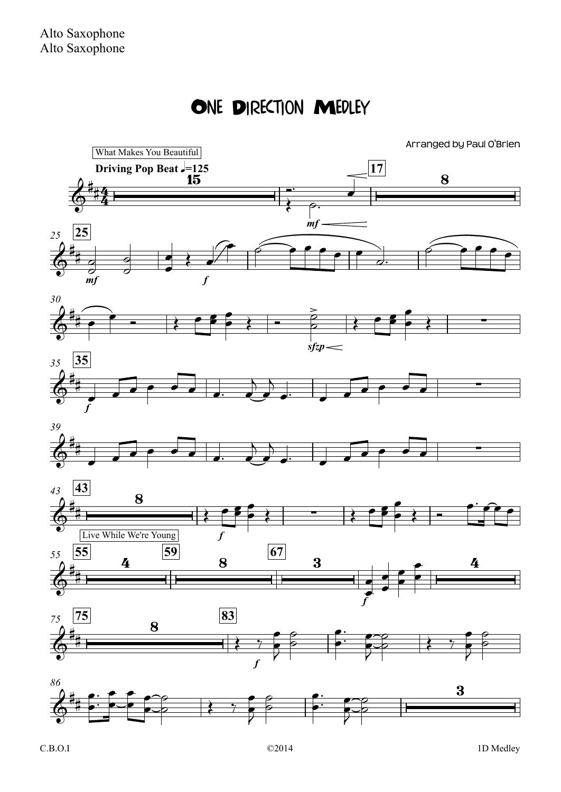## ONE DIRECTION MEDLEY